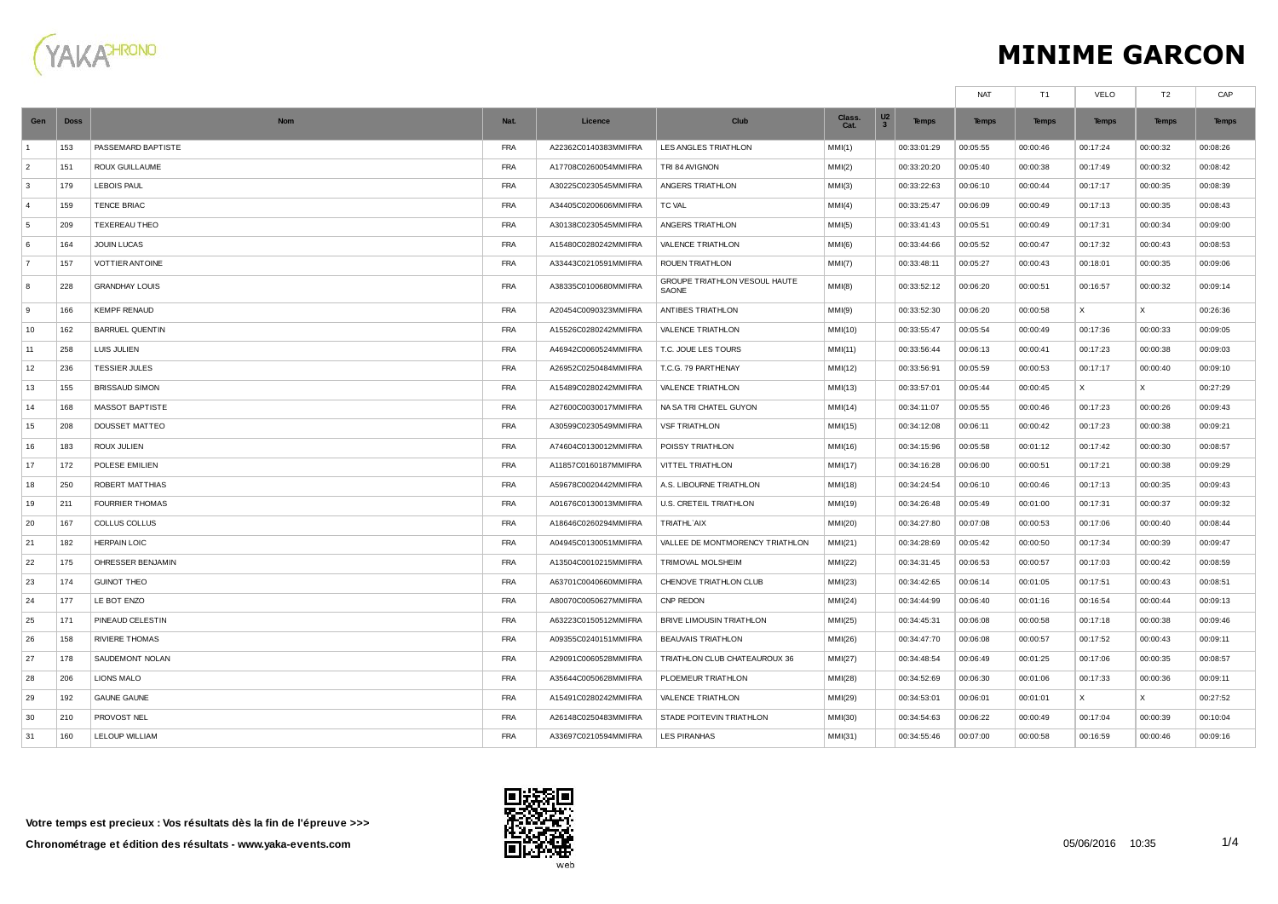

## **MINIME GARCON**

|                |             |                        |            |                      |                                        |                |                     |              | <b>NAT</b>   | T <sub>1</sub> | <b>VELO</b>  | T2           | CAP          |
|----------------|-------------|------------------------|------------|----------------------|----------------------------------------|----------------|---------------------|--------------|--------------|----------------|--------------|--------------|--------------|
| Gen            | <b>Doss</b> | <b>Nom</b>             | Nat.       | Licence              | Club                                   | Class.<br>Cat. | U <sub>2</sub><br>3 | <b>Temps</b> | <b>Temps</b> | <b>Temps</b>   | <b>Temps</b> | <b>Temps</b> | <b>Temps</b> |
| $\overline{1}$ | 153         | PASSEMARD BAPTISTE     | <b>FRA</b> | A22362C0140383MMIFRA | LES ANGLES TRIATHLON                   | MMI(1)         |                     | 00:33:01:29  | 00:05:55     | 00:00:46       | 00:17:24     | 00:00:32     | 00:08:26     |
| $\overline{2}$ | 151         | ROUX GUILLAUME         | <b>FRA</b> | A17708C0260054MMIFRA | TRI 84 AVIGNON                         | MMI(2)         |                     | 00:33:20:20  | 00:05:40     | 00:00:38       | 00:17:49     | 00:00:32     | 00:08:42     |
| 3              | 179         | <b>LEBOIS PAUL</b>     | <b>FRA</b> | A30225C0230545MMIFRA | ANGERS TRIATHLON                       | MM(3)          |                     | 00:33:22:63  | 00:06:10     | 00:00:44       | 00:17:17     | 00:00:35     | 00:08:39     |
| $\overline{4}$ | 159         | <b>TENCE BRIAC</b>     | <b>FRA</b> | A34405C0200606MMIFRA | TC VAL                                 | MMI(4)         |                     | 00:33:25:47  | 00:06:09     | 00:00:49       | 00:17:13     | 00:00:35     | 00:08:43     |
| 5              | 209         | TEXEREAU THEO          | <b>FRA</b> | A30138C0230545MMIFRA | ANGERS TRIATHLON                       | MM(5)          |                     | 00:33:41:43  | 00:05:51     | 00:00:49       | 00:17:31     | 00:00:34     | 00:09:00     |
| 6              | 164         | JOUIN LUCAS            | <b>FRA</b> | A15480C0280242MMIFRA | VALENCE TRIATHLON                      | MM(6)          |                     | 00:33:44:66  | 00:05:52     | 00:00:47       | 00:17:32     | 00:00:43     | 00:08:53     |
| $\overline{7}$ | 157         | <b>VOTTIER ANTOINE</b> | <b>FRA</b> | A33443C0210591MMIFRA | <b>ROUEN TRIATHLON</b>                 | MMI(7)         |                     | 00:33:48:11  | 00:05:27     | 00:00:43       | 00:18:01     | 00:00:35     | 00:09:06     |
| 8              | 228         | <b>GRANDHAY LOUIS</b>  | <b>FRA</b> | A38335C0100680MMIFRA | GROUPE TRIATHLON VESOUL HAUTE<br>SAONE | MMI(8)         |                     | 00:33:52:12  | 00:06:20     | 00:00:51       | 00:16:57     | 00:00:32     | 00:09:14     |
| 9              | 166         | <b>KEMPF RENAUD</b>    | <b>FRA</b> | A20454C0090323MMIFRA | ANTIBES TRIATHLON                      | MM(9)          |                     | 00:33:52:30  | 00:06:20     | 00:00:58       | X            | $\times$     | 00:26:36     |
| 10             | 162         | <b>BARRUEL QUENTIN</b> | <b>FRA</b> | A15526C0280242MMIFRA | VALENCE TRIATHLON                      | MMI(10)        |                     | 00:33:55:47  | 00:05:54     | 00:00:49       | 00:17:36     | 00:00:33     | 00:09:05     |
| 11             | 258         | LUIS JULIEN            | <b>FRA</b> | A46942C0060524MMIFRA | T.C. JOUE LES TOURS                    | MMI(11)        |                     | 00:33:56:44  | 00:06:13     | 00:00:41       | 00:17:23     | 00:00:38     | 00:09:03     |
| 12             | 236         | <b>TESSIER JULES</b>   | <b>FRA</b> | A26952C0250484MMIFRA | T.C.G. 79 PARTHENAY                    | MMI(12)        |                     | 00:33:56:91  | 00:05:59     | 00:00:53       | 00:17:17     | 00:00:40     | 00:09:10     |
| 13             | 155         | <b>BRISSAUD SIMON</b>  | <b>FRA</b> | A15489C0280242MMIFRA | VALENCE TRIATHLON                      | MMI(13)        |                     | 00:33:57:01  | 00:05:44     | 00:00:45       | X            | X            | 00:27:29     |
| 14             | 168         | <b>MASSOT BAPTISTE</b> | <b>FRA</b> | A27600C0030017MMIFRA | NA SA TRI CHATEL GUYON                 | MMI(14)        |                     | 00:34:11:07  | 00:05:55     | 00:00:46       | 00:17:23     | 00:00:26     | 00:09:43     |
| 15             | 208         | DOUSSET MATTEO         | <b>FRA</b> | A30599C0230549MMIFRA | <b>VSF TRIATHLON</b>                   | MMI(15)        |                     | 00:34:12:08  | 00:06:11     | 00:00:42       | 00:17:23     | 00:00:38     | 00:09:21     |
| 16             | 183         | <b>ROUX JULIEN</b>     | <b>FRA</b> | A74604C0130012MMIFRA | POISSY TRIATHLON                       | MMI(16)        |                     | 00:34:15:96  | 00:05:58     | 00:01:12       | 00:17:42     | 00:00:30     | 00:08:57     |
| 17             | 172         | POLESE EMILIEN         | <b>FRA</b> | A11857C0160187MMIFRA | VITTEL TRIATHLON                       | MMI(17)        |                     | 00:34:16:28  | 00:06:00     | 00:00:51       | 00:17:21     | 00:00:38     | 00:09:29     |
| 18             | 250         | ROBERT MATTHIAS        | <b>FRA</b> | A59678C0020442MMIFRA | A.S. LIBOURNE TRIATHLON                | MMI(18)        |                     | 00:34:24:54  | 00:06:10     | 00:00:46       | 00:17:13     | 00:00:35     | 00:09:43     |
| 19             | 211         | <b>FOURRIER THOMAS</b> | <b>FRA</b> | A01676C0130013MMIFRA | U.S. CRETEIL TRIATHLON                 | MMI(19)        |                     | 00:34:26:48  | 00:05:49     | 00:01:00       | 00:17:31     | 00:00:37     | 00:09:32     |
| 20             | 167         | COLLUS COLLUS          | <b>FRA</b> | A18646C0260294MMIFRA | TRIATHL'AIX                            | MMI(20)        |                     | 00:34:27:80  | 00:07:08     | 00:00:53       | 00:17:06     | 00:00:40     | 00:08:44     |
| 21             | 182         | <b>HERPAIN LOIC</b>    | <b>FRA</b> | A04945C0130051MMIFRA | VALLEE DE MONTMORENCY TRIATHLON        | MMI(21)        |                     | 00:34:28:69  | 00:05:42     | 00:00:50       | 00:17:34     | 00:00:39     | 00:09:47     |
| 22             | 175         | OHRESSER BENJAMIN      | <b>FRA</b> | A13504C0010215MMIFRA | TRIMOVAL MOLSHEIM                      | MMI(22)        |                     | 00:34:31:45  | 00:06:53     | 00:00:57       | 00:17:03     | 00:00:42     | 00:08:59     |
| 23             | 174         | <b>GUINOT THEO</b>     | <b>FRA</b> | A63701C0040660MMIFRA | CHENOVE TRIATHLON CLUB                 | MMI(23)        |                     | 00:34:42:65  | 00:06:14     | 00:01:05       | 00:17:51     | 00:00:43     | 00:08:51     |
| 24             | 177         | LE BOT ENZO            | <b>FRA</b> | A80070C0050627MMIFRA | CNP REDON                              | MMI(24)        |                     | 00:34:44:99  | 00:06:40     | 00:01:16       | 00:16:54     | 00:00:44     | 00:09:13     |
| 25             | 171         | PINEAUD CELESTIN       | <b>FRA</b> | A63223C0150512MMIFRA | BRIVE LIMOUSIN TRIATHLON               | MMI(25)        |                     | 00:34:45:31  | 00:06:08     | 00:00:58       | 00:17:18     | 00:00:38     | 00:09:46     |
| 26             | 158         | <b>RIVIERE THOMAS</b>  | <b>FRA</b> | A09355C0240151MMIFRA | <b>BEAUVAIS TRIATHLON</b>              | MMI(26)        |                     | 00:34:47:70  | 00:06:08     | 00:00:57       | 00:17:52     | 00:00:43     | 00:09:11     |
| 27             | 178         | SAUDEMONT NOLAN        | <b>FRA</b> | A29091C0060528MMIFRA | TRIATHLON CLUB CHATEAUROUX 36          | MMI(27)        |                     | 00:34:48:54  | 00:06:49     | 00:01:25       | 00:17:06     | 00:00:35     | 00:08:57     |
| 28             | 206         | <b>LIONS MALO</b>      | <b>FRA</b> | A35644C0050628MMIFRA | PLOEMEUR TRIATHLON                     | MMI(28)        |                     | 00:34:52:69  | 00:06:30     | 00:01:06       | 00:17:33     | 00:00:36     | 00:09:11     |
| 29             | 192         | <b>GAUNE GAUNE</b>     | <b>FRA</b> | A15491C0280242MMIFRA | <b>VALENCE TRIATHLON</b>               | MMI(29)        |                     | 00:34:53:01  | 00:06:01     | 00:01:01       | X            | X            | 00:27:52     |
| 30             | 210         | PROVOST NEL            | <b>FRA</b> | A26148C0250483MMIFRA | STADE POITEVIN TRIATHLON               | MMI(30)        |                     | 00:34:54:63  | 00:06:22     | 00:00:49       | 00:17:04     | 00:00:39     | 00:10:04     |
| 31             | 160         | LELOUP WILLIAM         | <b>FRA</b> | A33697C0210594MMIFRA | <b>LES PIRANHAS</b>                    | MMI(31)        |                     | 00:34:55:46  | 00:07:00     | 00:00:58       | 00:16:59     | 00:00:46     | 00:09:16     |

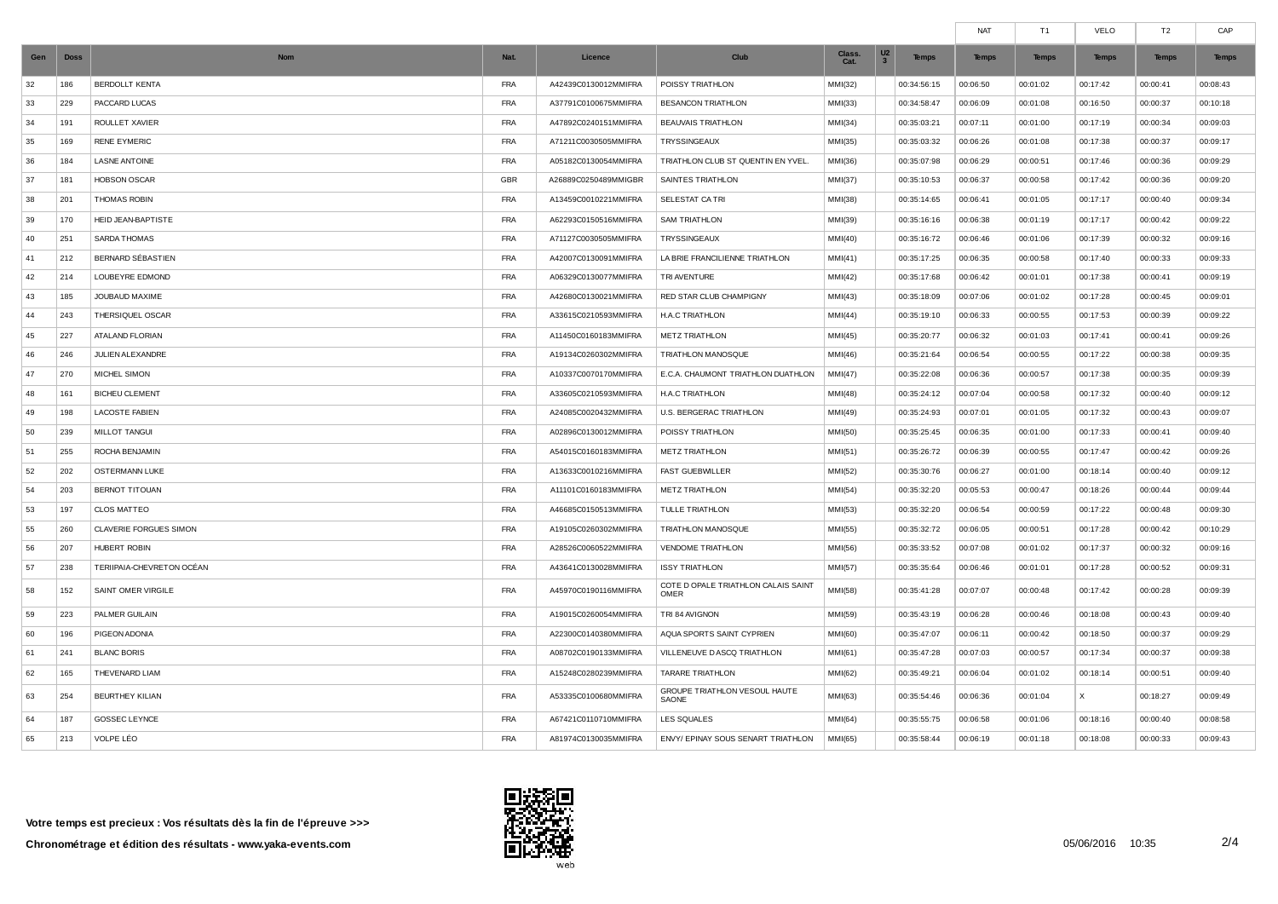|     |             |                           |            |                      |                                             |                |                                                           | <b>NAT</b>   | T1           | VELO         | T2           | CAP          |
|-----|-------------|---------------------------|------------|----------------------|---------------------------------------------|----------------|-----------------------------------------------------------|--------------|--------------|--------------|--------------|--------------|
| Gen | <b>Doss</b> | <b>Nom</b>                | Nat.       | Licence              | Club                                        | Class.<br>Cat. | U <sub>2</sub><br><b>Temps</b><br>$\overline{\mathbf{3}}$ | <b>Temps</b> | <b>Temps</b> | <b>Temps</b> | <b>Temps</b> | <b>Temps</b> |
| 32  | 186         | <b>BERDOLLT KENTA</b>     | FRA        | A42439C0130012MMIFRA | POISSY TRIATHLON                            | MMI(32)        | 00:34:56:15                                               | 00:06:50     | 00:01:02     | 00:17:42     | 00:00:41     | 00:08:43     |
| 33  | 229         | PACCARD LUCAS             | <b>FRA</b> | A37791C0100675MMIFRA | <b>BESANCON TRIATHLON</b>                   | MMI(33)        | 00:34:58:47                                               | 00:06:09     | 00:01:08     | 00:16:50     | 00:00:37     | 00:10:18     |
| 34  | 191         | ROULLET XAVIER            | <b>FRA</b> | A47892C0240151MMIFRA | <b>BEAUVAIS TRIATHLON</b>                   | MMI(34)        | 00:35:03:21                                               | 00:07:11     | 00:01:00     | 00:17:19     | 00:00:34     | 00:09:03     |
| 35  | 169         | <b>RENE EYMERIC</b>       | <b>FRA</b> | A71211C0030505MMIFRA | TRYSSINGEAUX                                | MMI(35)        | 00:35:03:32                                               | 00:06:26     | 00:01:08     | 00:17:38     | 00:00:37     | 00:09:17     |
| 36  | 184         | <b>LASNE ANTOINE</b>      | <b>FRA</b> | A05182C0130054MMIFRA | TRIATHLON CLUB ST QUENTIN EN YVEL.          | MMI(36)        | 00:35:07:98                                               | 00:06:29     | 00:00:51     | 00:17:46     | 00:00:36     | 00:09:29     |
| 37  | 181         | <b>HOBSON OSCAR</b>       | GBR        | A26889C0250489MMIGBR | SAINTES TRIATHLON                           | MMI(37)        | 00:35:10:53                                               | 00:06:37     | 00:00:58     | 00:17:42     | 00:00:36     | 00:09:20     |
| 38  | 201         | <b>THOMAS ROBIN</b>       | <b>FRA</b> | A13459C0010221MMIFRA | SELESTAT CA TRI                             | MMI(38)        | 00:35:14:65                                               | 00:06:41     | 00:01:05     | 00:17:17     | 00:00:40     | 00:09:34     |
| 39  | 170         | HEID JEAN-BAPTISTE        | <b>FRA</b> | A62293C0150516MMIFRA | <b>SAM TRIATHLON</b>                        | MMI(39)        | 00:35:16:16                                               | 00:06:38     | 00:01:19     | 00:17:17     | 00:00:42     | 00:09:22     |
| 40  | 251         | <b>SARDA THOMAS</b>       | <b>FRA</b> | A71127C0030505MMIFRA | TRYSSINGEAUX                                | MMI(40)        | 00:35:16:72                                               | 00:06:46     | 00:01:06     | 00:17:39     | 00:00:32     | 00:09:16     |
| 41  | 212         | BERNARD SÉBASTIEN         | <b>FRA</b> | A42007C0130091MMIFRA | LA BRIE FRANCILIENNE TRIATHLON              | MMI(41)        | 00:35:17:25                                               | 00:06:35     | 00:00:58     | 00:17:40     | 00:00:33     | 00:09:33     |
| 42  | 214         | <b>LOUBEYRE EDMOND</b>    | <b>FRA</b> | A06329C0130077MMIFRA | TRI AVENTURE                                | MM(42)         | 00:35:17:68                                               | 00:06:42     | 00:01:01     | 00:17:38     | 00:00:41     | 00:09:19     |
| 43  | 185         | JOUBAUD MAXIME            | <b>FRA</b> | A42680C0130021MMIFRA | RED STAR CLUB CHAMPIGNY                     | MMI(43)        | 00:35:18:09                                               | 00:07:06     | 00:01:02     | 00:17:28     | 00:00:45     | 00:09:01     |
| 44  | 243         | THERSIQUEL OSCAR          | <b>FRA</b> | A33615C0210593MMIFRA | H.A.C TRIATHLON                             | MMI(44)        | 00:35:19:10                                               | 00:06:33     | 00:00:55     | 00:17:53     | 00:00:39     | 00:09:22     |
| 45  | 227         | <b>ATALAND FLORIAN</b>    | <b>FRA</b> | A11450C0160183MMIFRA | <b>METZ TRIATHLON</b>                       | MM(45)         | 00:35:20:77                                               | 00:06:32     | 00:01:03     | 00:17:41     | 00:00:41     | 00:09:26     |
| 46  | 246         | JULIEN ALEXANDRE          | <b>FRA</b> | A19134C0260302MMIFRA | TRIATHLON MANOSQUE                          | MMI(46)        | 00:35:21:64                                               | 00:06:54     | 00:00:55     | 00:17:22     | 00:00:38     | 00:09:35     |
| 47  | 270         | <b>MICHEL SIMON</b>       | <b>FRA</b> | A10337C0070170MMIFRA | E.C.A. CHAUMONT TRIATHLON DUATHLON          | MMI(47)        | 00:35:22:08                                               | 00:06:36     | 00:00:57     | 00:17:38     | 00:00:35     | 00:09:39     |
| 48  | 161         | <b>BICHEU CLEMENT</b>     | <b>FRA</b> | A33605C0210593MMIFRA | <b>H.A.C TRIATHLON</b>                      | MMI(48)        | 00:35:24:12                                               | 00:07:04     | 00:00:58     | 00:17:32     | 00:00:40     | 00:09:12     |
| 49  | 198         | <b>LACOSTE FABIEN</b>     | <b>FRA</b> | A24085C0020432MMIFRA | U.S. BERGERAC TRIATHLON                     | MMI(49)        | 00:35:24:93                                               | 00:07:01     | 00:01:05     | 00:17:32     | 00:00:43     | 00:09:07     |
| 50  | 239         | MILLOT TANGUI             | <b>FRA</b> | A02896C0130012MMIFRA | POISSY TRIATHLON                            | MMI(50)        | 00:35:25:45                                               | 00:06:35     | 00:01:00     | 00:17:33     | 00:00:41     | 00:09:40     |
| 51  | 255         | ROCHA BENJAMIN            | <b>FRA</b> | A54015C0160183MMIFRA | <b>METZ TRIATHLON</b>                       | MM(51)         | 00:35:26:72                                               | 00:06:39     | 00:00:55     | 00:17:47     | 00:00:42     | 00:09:26     |
| 52  | 202         | OSTERMANN LUKE            | <b>FRA</b> | A13633C0010216MMIFRA | <b>FAST GUEBWILLER</b>                      | MMI(52)        | 00:35:30:76                                               | 00:06:27     | 00:01:00     | 00:18:14     | 00:00:40     | 00:09:12     |
| 54  | 203         | BERNOT TITOUAN            | <b>FRA</b> | A11101C0160183MMIFRA | <b>METZ TRIATHLON</b>                       | MMI(54)        | 00:35:32:20                                               | 00:05:53     | 00:00:47     | 00:18:26     | 00:00:44     | 00:09:44     |
| 53  | 197         | <b>CLOS MATTEO</b>        | <b>FRA</b> | A46685C0150513MMIFRA | TULLE TRIATHLON                             | MMI(53)        | 00:35:32:20                                               | 00:06:54     | 00:00:59     | 00:17:22     | 00:00:48     | 00:09:30     |
| 55  | 260         | CLAVERIE FORGUES SIMON    | <b>FRA</b> | A19105C0260302MMIFRA | TRIATHLON MANOSQUE                          | MMI(55)        | 00:35:32:72                                               | 00:06:05     | 00:00:51     | 00:17:28     | 00:00:42     | 00:10:29     |
| 56  | 207         | <b>HUBERT ROBIN</b>       | <b>FRA</b> | A28526C0060522MMIFRA | VENDOME TRIATHLON                           | MMI(56)        | 00:35:33:52                                               | 00:07:08     | 00:01:02     | 00:17:37     | 00:00:32     | 00:09:16     |
| 57  | 238         | TERIIPAIA-CHEVRETON OCÉAN | <b>FRA</b> | A43641C0130028MMIFRA | <b>ISSY TRIATHLON</b>                       | MMI(57)        | 00:35:35:64                                               | 00:06:46     | 00:01:01     | 00:17:28     | 00:00:52     | 00:09:31     |
| 58  | 152         | SAINT OMER VIRGILE        | <b>FRA</b> | A45970C0190116MMIFRA | COTE D OPALE TRIATHLON CALAIS SAINT<br>OMER | MMI(58)        | 00:35:41:28                                               | 00:07:07     | 00:00:48     | 00:17:42     | 00:00:28     | 00:09:39     |
| 59  | 223         | PALMER GUILAIN            | FRA        | A19015C0260054MMIFRA | TRI 84 AVIGNON                              | MMI(59)        | 00:35:43:19                                               | 00:06:28     | 00:00:46     | 00:18:08     | 00:00:43     | 00:09:40     |
| 60  | 196         | <b>PIGEON ADONIA</b>      | <b>FRA</b> | A22300C0140380MMIFRA | AQUA SPORTS SAINT CYPRIEN                   | MMI(60)        | 00:35:47:07                                               | 00:06:11     | 00:00:42     | 00:18:50     | 00:00:37     | 00:09:29     |
| 61  | 241         | <b>BLANC BORIS</b>        | FRA        | A08702C0190133MMIFRA | VILLENEUVE DASCQ TRIATHLON                  | MM(61)         | 00:35:47:28                                               | 00:07:03     | 00:00:57     | 00:17:34     | 00:00:37     | 00:09:38     |
| 62  | 165         | THEVENARD LIAM            | <b>FRA</b> | A15248C0280239MMIFRA | <b>TARARE TRIATHLON</b>                     | MMI(62)        | 00:35:49:21                                               | 00:06:04     | 00:01:02     | 00:18:14     | 00:00:51     | 00:09:40     |
| 63  | 254         | <b>BEURTHEY KILIAN</b>    | <b>FRA</b> | A53335C0100680MMIFRA | GROUPE TRIATHLON VESOUL HAUTE<br>SAONE      | MMI(63)        | 00:35:54:46                                               | 00:06:36     | 00:01:04     | $\times$     | 00:18:27     | 00:09:49     |
| 64  | 187         | GOSSEC LEYNCE             | <b>FRA</b> | A67421C0110710MMIFRA | <b>LES SQUALES</b>                          | MMI(64)        | 00:35:55:75                                               | 00:06:58     | 00:01:06     | 00:18:16     | 00:00:40     | 00:08:58     |
| 65  | 213         | VOLPE LÉO                 | <b>FRA</b> | A81974C0130035MMIFRA | ENVY/ EPINAY SOUS SENART TRIATHLON          | MMI(65)        | 00:35:58:44                                               | 00:06:19     | 00:01:18     | 00:18:08     | 00:00:33     | 00:09:43     |

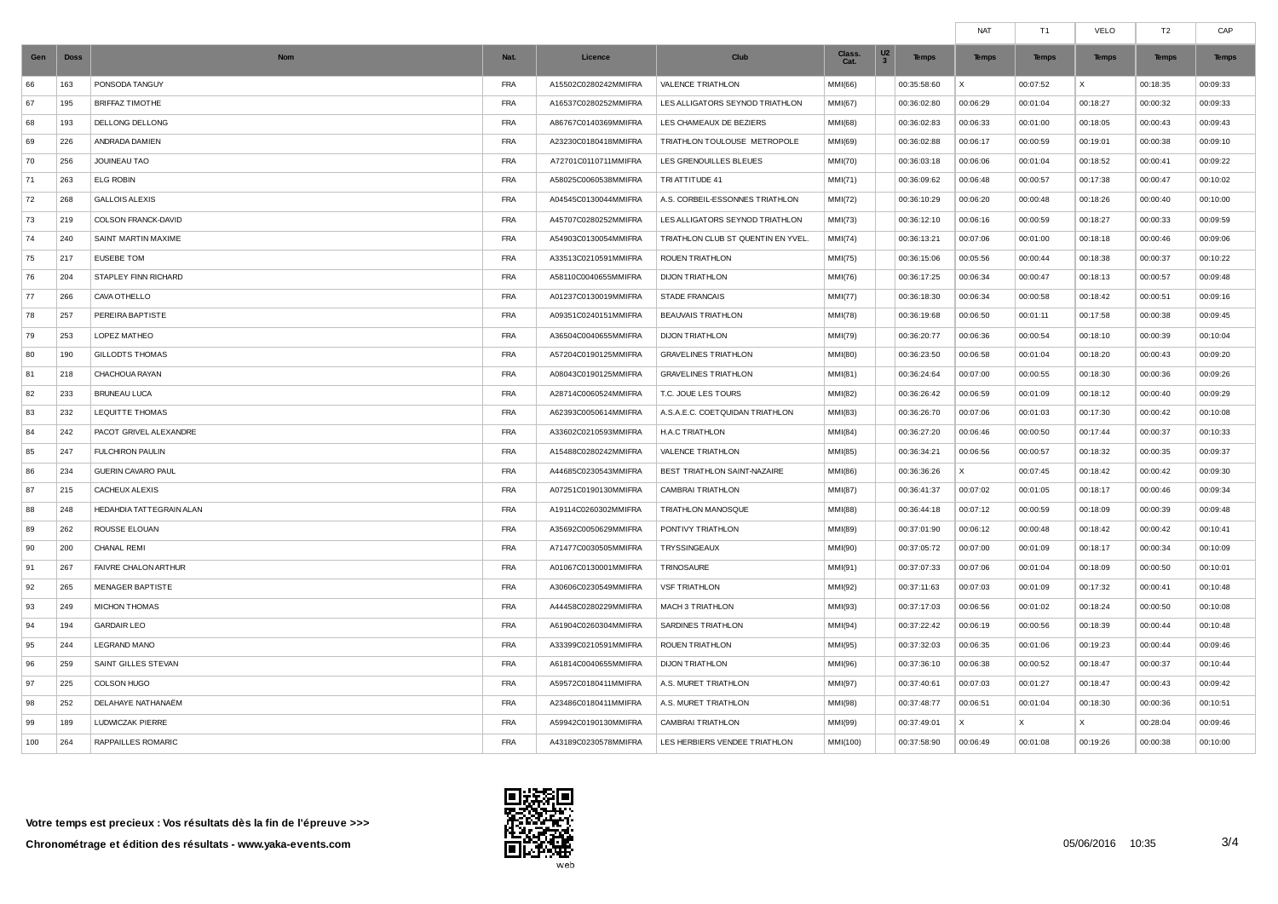|     |             |                             |            |                      |                                    |                |                                                           | <b>NAT</b>   | T1           | VELO         | T <sub>2</sub> | CAP          |
|-----|-------------|-----------------------------|------------|----------------------|------------------------------------|----------------|-----------------------------------------------------------|--------------|--------------|--------------|----------------|--------------|
| Gen | <b>Doss</b> | <b>Nom</b>                  | Nat.       | Licence              | Club                               | Class.<br>Cat. | U <sub>2</sub><br><b>Temps</b><br>$\overline{\mathbf{3}}$ | <b>Temps</b> | <b>Temps</b> | <b>Temps</b> | <b>Temps</b>   | <b>Temps</b> |
| 66  | 163         | PONSODA TANGUY              | <b>FRA</b> | A15502C0280242MMIFRA | VALENCE TRIATHLON                  | MMI(66)        | 00:35:58:60                                               | $\times$     | 00:07:52     | X            | 00:18:35       | 00:09:33     |
| 67  | 195         | <b>BRIFFAZ TIMOTHE</b>      | <b>FRA</b> | A16537C0280252MMIFRA | LES ALLIGATORS SEYNOD TRIATHLON    | MMI(67)        | 00:36:02:80                                               | 00:06:29     | 00:01:04     | 00:18:27     | 00:00:32       | 00:09:33     |
| 68  | 193         | DELLONG DELLONG             | <b>FRA</b> | A86767C0140369MMIFRA | LES CHAMEAUX DE BEZIERS            | MMI(68)        | 00:36:02:83                                               | 00:06:33     | 00:01:00     | 00:18:05     | 00:00:43       | 00:09:43     |
| 69  | 226         | ANDRADA DAMIEN              | <b>FRA</b> | A23230C0180418MMIFRA | TRIATHLON TOULOUSE METROPOLE       | MMI(69)        | 00:36:02:88                                               | 00:06:17     | 00:00:59     | 00:19:01     | 00:00:38       | 00:09:10     |
| 70  | 256         | JOUINEAU TAO                | <b>FRA</b> | A72701C0110711MMIFRA | LES GRENOUILLES BLEUES             | MMI(70)        | 00:36:03:18                                               | 00:06:06     | 00:01:04     | 00:18:52     | 00:00:41       | 00:09:22     |
| 71  | 263         | <b>ELG ROBIN</b>            | <b>FRA</b> | A58025C0060538MMIFRA | TRI ATTITUDE 41                    | MM(71)         | 00:36:09:62                                               | 00:06:48     | 00:00:57     | 00:17:38     | 00:00:47       | 00:10:02     |
| 72  | 268         | <b>GALLOIS ALEXIS</b>       | <b>FRA</b> | A04545C0130044MMIFRA | A.S. CORBEIL-ESSONNES TRIATHLON    | MMI(72)        | 00:36:10:29                                               | 00:06:20     | 00:00:48     | 00:18:26     | 00:00:40       | 00:10:00     |
| 73  | 219         | COLSON FRANCK-DAVID         | <b>FRA</b> | A45707C0280252MMIFRA | LES ALLIGATORS SEYNOD TRIATHLON    | MMI(73)        | 00:36:12:10                                               | 00:06:16     | 00:00:59     | 00:18:27     | 00:00:33       | 00:09:59     |
| 74  | 240         | SAINT MARTIN MAXIME         | <b>FRA</b> | A54903C0130054MMIFRA | TRIATHLON CLUB ST QUENTIN EN YVEL. | MMI(74)        | 00:36:13:21                                               | 00:07:06     | 00:01:00     | 00:18:18     | 00:00:46       | 00:09:06     |
| 75  | 217         | <b>EUSEBE TOM</b>           | <b>FRA</b> | A33513C0210591MMIFRA | ROUEN TRIATHLON                    | MMI(75)        | 00:36:15:06                                               | 00:05:56     | 00:00:44     | 00:18:38     | 00:00:37       | 00:10:22     |
| 76  | 204         | <b>STAPLEY FINN RICHARD</b> | <b>FRA</b> | A58110C0040655MMIFRA | <b>DIJON TRIATHLON</b>             | MMI(76)        | 00:36:17:25                                               | 00:06:34     | 00:00:47     | 00:18:13     | 00:00:57       | 00:09:48     |
| 77  | 266         | CAVA OTHELLO                | <b>FRA</b> | A01237C0130019MMIFRA | <b>STADE FRANCAIS</b>              | MMI(77)        | 00:36:18:30                                               | 00:06:34     | 00:00:58     | 00:18:42     | 00:00:51       | 00:09:16     |
| 78  | 257         | PEREIRA BAPTISTE            | <b>FRA</b> | A09351C0240151MMIFRA | <b>BEAUVAIS TRIATHLON</b>          | MMI(78)        | 00:36:19:68                                               | 00:06:50     | 00:01:11     | 00:17:58     | 00:00:38       | 00:09:45     |
| 79  | 253         | LOPEZ MATHEO                | <b>FRA</b> | A36504C0040655MMIFRA | <b>DIJON TRIATHLON</b>             | MMI(79)        | 00:36:20:77                                               | 00:06:36     | 00:00:54     | 00:18:10     | 00:00:39       | 00:10:04     |
| 80  | 190         | <b>GILLODTS THOMAS</b>      | <b>FRA</b> | A57204C0190125MMIFRA | <b>GRAVELINES TRIATHLON</b>        | MMI(80)        | 00:36:23:50                                               | 00:06:58     | 00:01:04     | 00:18:20     | 00:00:43       | 00:09:20     |
| 81  | 218         | CHACHOUA RAYAN              | <b>FRA</b> | A08043C0190125MMIFRA | <b>GRAVELINES TRIATHLON</b>        | MM(81)         | 00:36:24:64                                               | 00:07:00     | 00:00:55     | 00:18:30     | 00:00:36       | 00:09:26     |
| 82  | 233         | <b>BRUNEAU LUCA</b>         | <b>FRA</b> | A28714C0060524MMIFRA | T.C. JOUE LES TOURS                | MMI(82)        | 00:36:26:42                                               | 00:06:59     | 00:01:09     | 00:18:12     | 00:00:40       | 00:09:29     |
| 83  | 232         | <b>LEQUITTE THOMAS</b>      | <b>FRA</b> | A62393C0050614MMIFRA | A.S.A.E.C. COETQUIDAN TRIATHLON    | MMI(83)        | 00:36:26:70                                               | 00:07:06     | 00:01:03     | 00:17:30     | 00:00:42       | 00:10:08     |
| 84  | 242         | PACOT GRIVEL ALEXANDRE      | <b>FRA</b> | A33602C0210593MMIFRA | H.A.C TRIATHLON                    | MMI(84)        | 00:36:27:20                                               | 00:06:46     | 00:00:50     | 00:17:44     | 00:00:37       | 00:10:33     |
| 85  | 247         | <b>FULCHIRON PAULIN</b>     | <b>FRA</b> | A15488C0280242MMIFRA | VALENCE TRIATHLON                  | MMI(85)        | 00:36:34:21                                               | 00:06:56     | 00:00:57     | 00:18:32     | 00:00:35       | 00:09:37     |
| 86  | 234         | GUERIN CAVARO PAUL          | <b>FRA</b> | A44685C0230543MMIFRA | BEST TRIATHLON SAINT-NAZAIRE       | MMI(86)        | 00:36:36:26                                               | X            | 00:07:45     | 00:18:42     | 00:00:42       | 00:09:30     |
| 87  | 215         | CACHEUX ALEXIS              | <b>FRA</b> | A07251C0190130MMIFRA | CAMBRAI TRIATHLON                  | MM(87)         | 00:36:41:37                                               | 00:07:02     | 00:01:05     | 00:18:17     | 00:00:46       | 00:09:34     |
| 88  | 248         | HEDAHDIA TATTEGRAIN ALAN    | <b>FRA</b> | A19114C0260302MMIFRA | TRIATHLON MANOSQUE                 | MMI(88)        | 00:36:44:18                                               | 00:07:12     | 00:00:59     | 00:18:09     | 00:00:39       | 00:09:48     |
| 89  | 262         | ROUSSE ELOUAN               | <b>FRA</b> | A35692C0050629MMIFRA | PONTIVY TRIATHLON                  | MMI(89)        | 00:37:01:90                                               | 00:06:12     | 00:00:48     | 00:18:42     | 00:00:42       | 00:10:41     |
| 90  | 200         | <b>CHANAL REMI</b>          | <b>FRA</b> | A71477C0030505MMIFRA | TRYSSINGEAUX                       | MMI(90)        | 00:37:05:72                                               | 00:07:00     | 00:01:09     | 00:18:17     | 00:00:34       | 00:10:09     |
| 91  | 267         | FAIVRE CHALON ARTHUR        | <b>FRA</b> | A01067C0130001MMIFRA | TRINOSAURE                         | MMI(91)        | 00:37:07:33                                               | 00:07:06     | 00:01:04     | 00:18:09     | 00:00:50       | 00:10:01     |
| 92  | 265         | MENAGER BAPTISTE            | <b>FRA</b> | A30606C0230549MMIFRA | <b>VSF TRIATHLON</b>               | MMI(92)        | 00:37:11:63                                               | 00:07:03     | 00:01:09     | 00:17:32     | 00:00:41       | 00:10:48     |
| 93  | 249         | MICHON THOMAS               | <b>FRA</b> | A44458C0280229MMIFRA | MACH 3 TRIATHLON                   | MMI(93)        | 00:37:17:03                                               | 00:06:56     | 00:01:02     | 00:18:24     | 00:00:50       | 00:10:08     |
| 94  | 194         | <b>GARDAIR LEO</b>          | <b>FRA</b> | A61904C0260304MMIFRA | SARDINES TRIATHLON                 | MM(94)         | 00:37:22:42                                               | 00:06:19     | 00:00:56     | 00:18:39     | 00:00:44       | 00:10:48     |
| 95  | 244         | <b>LEGRAND MANO</b>         | <b>FRA</b> | A33399C0210591MMIFRA | ROUEN TRIATHLON                    | MMI(95)        | 00:37:32:03                                               | 00:06:35     | 00:01:06     | 00:19:23     | 00:00:44       | 00:09:46     |
| 96  | 259         | SAINT GILLES STEVAN         | <b>FRA</b> | A61814C0040655MMIFRA | <b>DIJON TRIATHLON</b>             | MMI(96)        | 00:37:36:10                                               | 00:06:38     | 00:00:52     | 00:18:47     | 00:00:37       | 00:10:44     |
| 97  | 225         | COLSON HUGO                 | <b>FRA</b> | A59572C0180411MMIFRA | A.S. MURET TRIATHLON               | MMI(97)        | 00:37:40:61                                               | 00:07:03     | 00:01:27     | 00:18:47     | 00:00:43       | 00:09:42     |
| 98  | 252         | DELAHAYE NATHANAËM          | <b>FRA</b> | A23486C0180411MMIFRA | A.S. MURET TRIATHLON               | MMI(98)        | 00:37:48:77                                               | 00:06:51     | 00:01:04     | 00:18:30     | 00:00:36       | 00:10:51     |
| 99  | 189         | LUDWICZAK PIERRE            | <b>FRA</b> | A59942C0190130MMIFRA | <b>CAMBRAI TRIATHLON</b>           | MMI(99)        | 00:37:49:01                                               | X            | $\times$     | $\times$     | 00:28:04       | 00:09:46     |
| 100 | 264         | RAPPAILLES ROMARIC          | <b>FRA</b> | A43189C0230578MMIFRA | LES HERBIERS VENDEE TRIATHLON      | MMI(100)       | 00:37:58:90                                               | 00:06:49     | 00:01:08     | 00:19:26     | 00:00:38       | 00:10:00     |